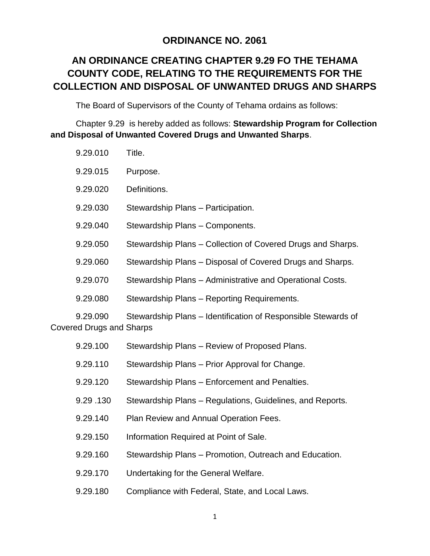# **ORDINANCE NO. 2061**

# **AN ORDINANCE CREATING CHAPTER 9.29 FO THE TEHAMA COUNTY CODE, RELATING TO THE REQUIREMENTS FOR THE COLLECTION AND DISPOSAL OF UNWANTED DRUGS AND SHARPS**

The Board of Supervisors of the County of Tehama ordains as follows:

Chapter 9.29 is hereby added as follows: **Stewardship Program for Collection and Disposal of Unwanted Covered Drugs and Unwanted Sharps**.

| 9.29.010                                    | Title.                                                        |
|---------------------------------------------|---------------------------------------------------------------|
| 9.29.015                                    | Purpose.                                                      |
| 9.29.020                                    | Definitions.                                                  |
| 9.29.030                                    | Stewardship Plans - Participation.                            |
| 9.29.040                                    | Stewardship Plans - Components.                               |
| 9.29.050                                    | Stewardship Plans - Collection of Covered Drugs and Sharps.   |
| 9.29.060                                    | Stewardship Plans - Disposal of Covered Drugs and Sharps.     |
| 9.29.070                                    | Stewardship Plans - Administrative and Operational Costs.     |
| 9.29.080                                    | Stewardship Plans - Reporting Requirements.                   |
| 9.29.090<br><b>Covered Drugs and Sharps</b> | Stewardship Plans - Identification of Responsible Stewards of |
| 9.29.100                                    | Stewardship Plans - Review of Proposed Plans.                 |
| 9.29.110                                    | Stewardship Plans - Prior Approval for Change.                |
| 9.29.120                                    | Stewardship Plans - Enforcement and Penalties.                |
| 9.29.130                                    | Stewardship Plans - Regulations, Guidelines, and Reports.     |
| 9.29.140                                    | Plan Review and Annual Operation Fees.                        |
| 9.29.150                                    | Information Required at Point of Sale.                        |
| 9.29.160                                    | Stewardship Plans - Promotion, Outreach and Education.        |
| 9.29.170                                    | Undertaking for the General Welfare.                          |
| 9.29.180                                    | Compliance with Federal, State, and Local Laws.               |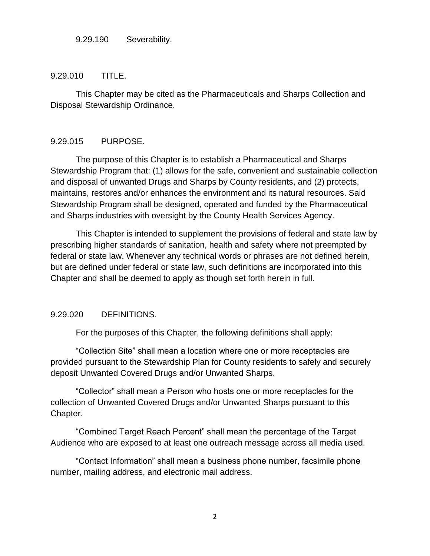#### 9.29.190 Severability.

#### 9.29.010 TITLE.

This Chapter may be cited as the Pharmaceuticals and Sharps Collection and Disposal Stewardship Ordinance.

#### 9.29.015 PURPOSE.

The purpose of this Chapter is to establish a Pharmaceutical and Sharps Stewardship Program that: (1) allows for the safe, convenient and sustainable collection and disposal of unwanted Drugs and Sharps by County residents, and (2) protects, maintains, restores and/or enhances the environment and its natural resources. Said Stewardship Program shall be designed, operated and funded by the Pharmaceutical and Sharps industries with oversight by the County Health Services Agency.

This Chapter is intended to supplement the provisions of federal and state law by prescribing higher standards of sanitation, health and safety where not preempted by federal or state law. Whenever any technical words or phrases are not defined herein, but are defined under federal or state law, such definitions are incorporated into this Chapter and shall be deemed to apply as though set forth herein in full.

#### 9.29.020 DEFINITIONS.

For the purposes of this Chapter, the following definitions shall apply:

"Collection Site" shall mean a location where one or more receptacles are provided pursuant to the Stewardship Plan for County residents to safely and securely deposit Unwanted Covered Drugs and/or Unwanted Sharps.

"Collector" shall mean a Person who hosts one or more receptacles for the collection of Unwanted Covered Drugs and/or Unwanted Sharps pursuant to this Chapter.

"Combined Target Reach Percent" shall mean the percentage of the Target Audience who are exposed to at least one outreach message across all media used.

"Contact Information" shall mean a business phone number, facsimile phone number, mailing address, and electronic mail address.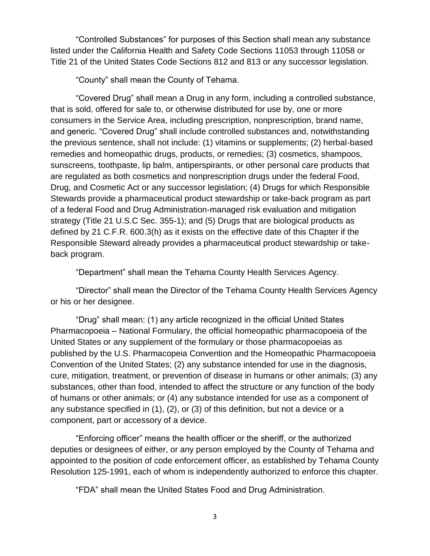"Controlled Substances" for purposes of this Section shall mean any substance listed under the California Health and Safety Code Sections 11053 through 11058 or Title 21 of the United States Code Sections 812 and 813 or any successor legislation.

"County" shall mean the County of Tehama.

"Covered Drug" shall mean a Drug in any form, including a controlled substance, that is sold, offered for sale to, or otherwise distributed for use by, one or more consumers in the Service Area, including prescription, nonprescription, brand name, and generic. "Covered Drug" shall include controlled substances and, notwithstanding the previous sentence, shall not include: (1) vitamins or supplements; (2) herbal-based remedies and homeopathic drugs, products, or remedies; (3) cosmetics, shampoos, sunscreens, toothpaste, lip balm, antiperspirants, or other personal care products that are regulated as both cosmetics and nonprescription drugs under the federal Food, Drug, and Cosmetic Act or any successor legislation; (4) Drugs for which Responsible Stewards provide a pharmaceutical product stewardship or take-back program as part of a federal Food and Drug Administration-managed risk evaluation and mitigation strategy (Title 21 U.S.C Sec. 355-1); and (5) Drugs that are biological products as defined by 21 C.F.R. 600.3(h) as it exists on the effective date of this Chapter if the Responsible Steward already provides a pharmaceutical product stewardship or takeback program.

"Department" shall mean the Tehama County Health Services Agency.

"Director" shall mean the Director of the Tehama County Health Services Agency or his or her designee.

"Drug" shall mean: (1) any article recognized in the official United States Pharmacopoeia – National Formulary, the official homeopathic pharmacopoeia of the United States or any supplement of the formulary or those pharmacopoeias as published by the U.S. Pharmacopeia Convention and the Homeopathic Pharmacopoeia Convention of the United States; (2) any substance intended for use in the diagnosis, cure, mitigation, treatment, or prevention of disease in humans or other animals; (3) any substances, other than food, intended to affect the structure or any function of the body of humans or other animals; or (4) any substance intended for use as a component of any substance specified in (1), (2), or (3) of this definition, but not a device or a component, part or accessory of a device.

"Enforcing officer" means the health officer or the sheriff, or the authorized deputies or designees of either, or any person employed by the County of Tehama and appointed to the position of code enforcement officer, as established by Tehama County Resolution 125-1991, each of whom is independently authorized to enforce this chapter.

"FDA" shall mean the United States Food and Drug Administration.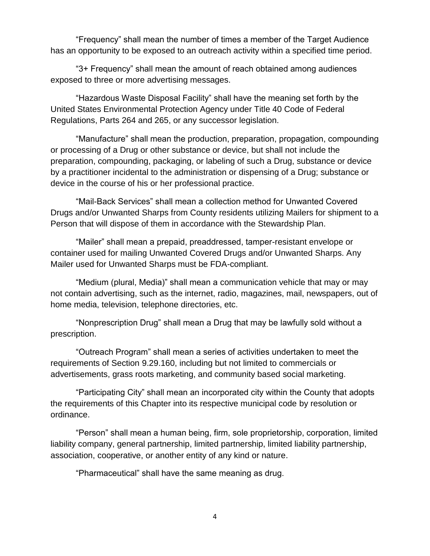"Frequency" shall mean the number of times a member of the Target Audience has an opportunity to be exposed to an outreach activity within a specified time period.

"3+ Frequency" shall mean the amount of reach obtained among audiences exposed to three or more advertising messages.

"Hazardous Waste Disposal Facility" shall have the meaning set forth by the United States Environmental Protection Agency under Title 40 Code of Federal Regulations, Parts 264 and 265, or any successor legislation.

"Manufacture" shall mean the production, preparation, propagation, compounding or processing of a Drug or other substance or device, but shall not include the preparation, compounding, packaging, or labeling of such a Drug, substance or device by a practitioner incidental to the administration or dispensing of a Drug; substance or device in the course of his or her professional practice.

"Mail-Back Services" shall mean a collection method for Unwanted Covered Drugs and/or Unwanted Sharps from County residents utilizing Mailers for shipment to a Person that will dispose of them in accordance with the Stewardship Plan.

"Mailer" shall mean a prepaid, preaddressed, tamper-resistant envelope or container used for mailing Unwanted Covered Drugs and/or Unwanted Sharps. Any Mailer used for Unwanted Sharps must be FDA-compliant.

"Medium (plural, Media)" shall mean a communication vehicle that may or may not contain advertising, such as the internet, radio, magazines, mail, newspapers, out of home media, television, telephone directories, etc.

"Nonprescription Drug" shall mean a Drug that may be lawfully sold without a prescription.

"Outreach Program" shall mean a series of activities undertaken to meet the requirements of Section 9.29.160, including but not limited to commercials or advertisements, grass roots marketing, and community based social marketing.

"Participating City" shall mean an incorporated city within the County that adopts the requirements of this Chapter into its respective municipal code by resolution or ordinance.

"Person" shall mean a human being, firm, sole proprietorship, corporation, limited liability company, general partnership, limited partnership, limited liability partnership, association, cooperative, or another entity of any kind or nature.

"Pharmaceutical" shall have the same meaning as drug.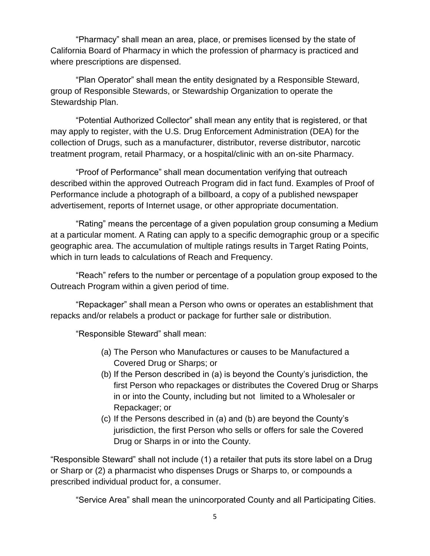"Pharmacy" shall mean an area, place, or premises licensed by the state of California Board of Pharmacy in which the profession of pharmacy is practiced and where prescriptions are dispensed.

"Plan Operator" shall mean the entity designated by a Responsible Steward, group of Responsible Stewards, or Stewardship Organization to operate the Stewardship Plan.

"Potential Authorized Collector" shall mean any entity that is registered, or that may apply to register, with the U.S. Drug Enforcement Administration (DEA) for the collection of Drugs, such as a manufacturer, distributor, reverse distributor, narcotic treatment program, retail Pharmacy, or a hospital/clinic with an on-site Pharmacy.

"Proof of Performance" shall mean documentation verifying that outreach described within the approved Outreach Program did in fact fund. Examples of Proof of Performance include a photograph of a billboard, a copy of a published newspaper advertisement, reports of Internet usage, or other appropriate documentation.

"Rating" means the percentage of a given population group consuming a Medium at a particular moment. A Rating can apply to a specific demographic group or a specific geographic area. The accumulation of multiple ratings results in Target Rating Points, which in turn leads to calculations of Reach and Frequency.

"Reach" refers to the number or percentage of a population group exposed to the Outreach Program within a given period of time.

"Repackager" shall mean a Person who owns or operates an establishment that repacks and/or relabels a product or package for further sale or distribution.

"Responsible Steward" shall mean:

- (a) The Person who Manufactures or causes to be Manufactured a Covered Drug or Sharps; or
- (b) If the Person described in (a) is beyond the County's jurisdiction, the first Person who repackages or distributes the Covered Drug or Sharps in or into the County, including but not limited to a Wholesaler or Repackager; or
- (c) If the Persons described in (a) and (b) are beyond the County's jurisdiction, the first Person who sells or offers for sale the Covered Drug or Sharps in or into the County.

"Responsible Steward" shall not include (1) a retailer that puts its store label on a Drug or Sharp or (2) a pharmacist who dispenses Drugs or Sharps to, or compounds a prescribed individual product for, a consumer.

"Service Area" shall mean the unincorporated County and all Participating Cities.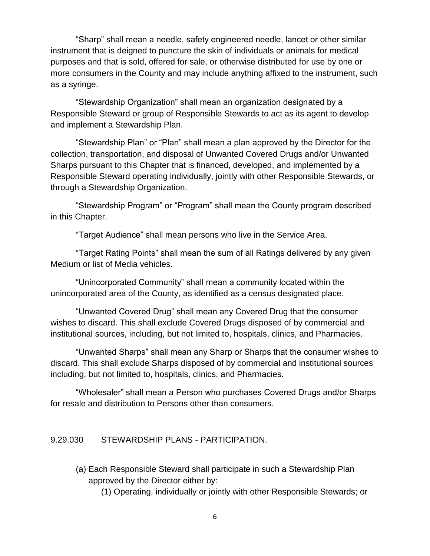"Sharp" shall mean a needle, safety engineered needle, lancet or other similar instrument that is deigned to puncture the skin of individuals or animals for medical purposes and that is sold, offered for sale, or otherwise distributed for use by one or more consumers in the County and may include anything affixed to the instrument, such as a syringe.

"Stewardship Organization" shall mean an organization designated by a Responsible Steward or group of Responsible Stewards to act as its agent to develop and implement a Stewardship Plan.

"Stewardship Plan" or "Plan" shall mean a plan approved by the Director for the collection, transportation, and disposal of Unwanted Covered Drugs and/or Unwanted Sharps pursuant to this Chapter that is financed, developed, and implemented by a Responsible Steward operating individually, jointly with other Responsible Stewards, or through a Stewardship Organization.

"Stewardship Program" or "Program" shall mean the County program described in this Chapter.

"Target Audience" shall mean persons who live in the Service Area.

"Target Rating Points" shall mean the sum of all Ratings delivered by any given Medium or list of Media vehicles.

"Unincorporated Community" shall mean a community located within the unincorporated area of the County, as identified as a census designated place.

"Unwanted Covered Drug" shall mean any Covered Drug that the consumer wishes to discard. This shall exclude Covered Drugs disposed of by commercial and institutional sources, including, but not limited to, hospitals, clinics, and Pharmacies.

"Unwanted Sharps" shall mean any Sharp or Sharps that the consumer wishes to discard. This shall exclude Sharps disposed of by commercial and institutional sources including, but not limited to, hospitals, clinics, and Pharmacies.

"Wholesaler" shall mean a Person who purchases Covered Drugs and/or Sharps for resale and distribution to Persons other than consumers.

#### 9.29.030 STEWARDSHIP PLANS - PARTICIPATION.

(a) Each Responsible Steward shall participate in such a Stewardship Plan approved by the Director either by:

(1) Operating, individually or jointly with other Responsible Stewards; or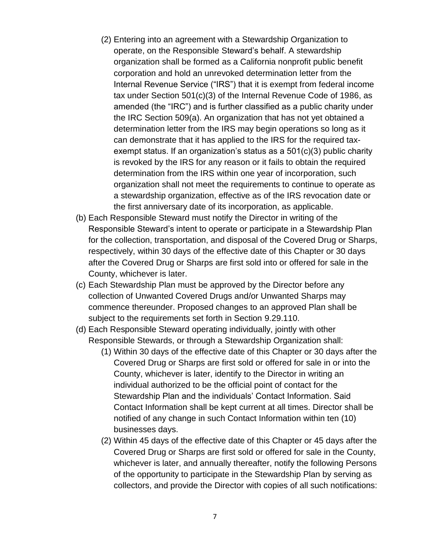- (2) Entering into an agreement with a Stewardship Organization to operate, on the Responsible Steward's behalf. A stewardship organization shall be formed as a California nonprofit public benefit corporation and hold an unrevoked determination letter from the Internal Revenue Service ("IRS") that it is exempt from federal income tax under Section 501(c)(3) of the Internal Revenue Code of 1986, as amended (the "IRC") and is further classified as a public charity under the IRC Section 509(a). An organization that has not yet obtained a determination letter from the IRS may begin operations so long as it can demonstrate that it has applied to the IRS for the required taxexempt status. If an organization's status as a 501(c)(3) public charity is revoked by the IRS for any reason or it fails to obtain the required determination from the IRS within one year of incorporation, such organization shall not meet the requirements to continue to operate as a stewardship organization, effective as of the IRS revocation date or the first anniversary date of its incorporation, as applicable.
- (b) Each Responsible Steward must notify the Director in writing of the Responsible Steward's intent to operate or participate in a Stewardship Plan for the collection, transportation, and disposal of the Covered Drug or Sharps, respectively, within 30 days of the effective date of this Chapter or 30 days after the Covered Drug or Sharps are first sold into or offered for sale in the County, whichever is later.
- (c) Each Stewardship Plan must be approved by the Director before any collection of Unwanted Covered Drugs and/or Unwanted Sharps may commence thereunder. Proposed changes to an approved Plan shall be subject to the requirements set forth in Section 9.29.110.
- (d) Each Responsible Steward operating individually, jointly with other Responsible Stewards, or through a Stewardship Organization shall:
	- (1) Within 30 days of the effective date of this Chapter or 30 days after the Covered Drug or Sharps are first sold or offered for sale in or into the County, whichever is later, identify to the Director in writing an individual authorized to be the official point of contact for the Stewardship Plan and the individuals' Contact Information. Said Contact Information shall be kept current at all times. Director shall be notified of any change in such Contact Information within ten (10) businesses days.
	- (2) Within 45 days of the effective date of this Chapter or 45 days after the Covered Drug or Sharps are first sold or offered for sale in the County, whichever is later, and annually thereafter, notify the following Persons of the opportunity to participate in the Stewardship Plan by serving as collectors, and provide the Director with copies of all such notifications: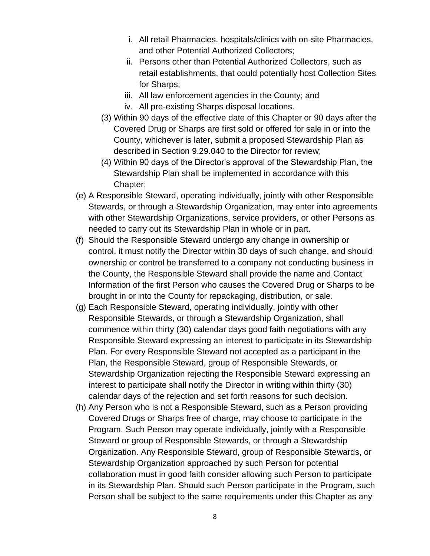- i. All retail Pharmacies, hospitals/clinics with on-site Pharmacies, and other Potential Authorized Collectors;
- ii. Persons other than Potential Authorized Collectors, such as retail establishments, that could potentially host Collection Sites for Sharps;
- iii. All law enforcement agencies in the County; and
- iv. All pre-existing Sharps disposal locations.
- (3) Within 90 days of the effective date of this Chapter or 90 days after the Covered Drug or Sharps are first sold or offered for sale in or into the County, whichever is later, submit a proposed Stewardship Plan as described in Section 9.29.040 to the Director for review;
- (4) Within 90 days of the Director's approval of the Stewardship Plan, the Stewardship Plan shall be implemented in accordance with this Chapter;
- (e) A Responsible Steward, operating individually, jointly with other Responsible Stewards, or through a Stewardship Organization, may enter into agreements with other Stewardship Organizations, service providers, or other Persons as needed to carry out its Stewardship Plan in whole or in part.
- (f) Should the Responsible Steward undergo any change in ownership or control, it must notify the Director within 30 days of such change, and should ownership or control be transferred to a company not conducting business in the County, the Responsible Steward shall provide the name and Contact Information of the first Person who causes the Covered Drug or Sharps to be brought in or into the County for repackaging, distribution, or sale.
- (g) Each Responsible Steward, operating individually, jointly with other Responsible Stewards, or through a Stewardship Organization, shall commence within thirty (30) calendar days good faith negotiations with any Responsible Steward expressing an interest to participate in its Stewardship Plan. For every Responsible Steward not accepted as a participant in the Plan, the Responsible Steward, group of Responsible Stewards, or Stewardship Organization rejecting the Responsible Steward expressing an interest to participate shall notify the Director in writing within thirty (30) calendar days of the rejection and set forth reasons for such decision.
- (h) Any Person who is not a Responsible Steward, such as a Person providing Covered Drugs or Sharps free of charge, may choose to participate in the Program. Such Person may operate individually, jointly with a Responsible Steward or group of Responsible Stewards, or through a Stewardship Organization. Any Responsible Steward, group of Responsible Stewards, or Stewardship Organization approached by such Person for potential collaboration must in good faith consider allowing such Person to participate in its Stewardship Plan. Should such Person participate in the Program, such Person shall be subject to the same requirements under this Chapter as any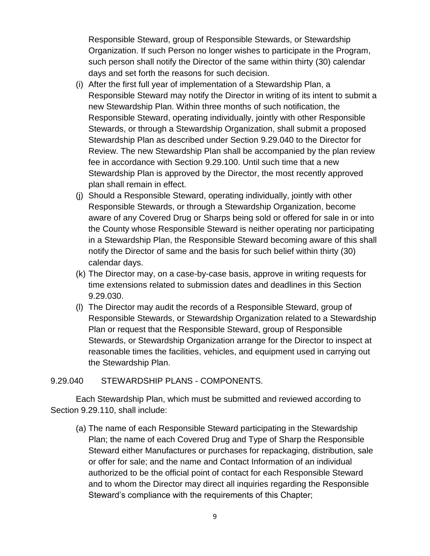Responsible Steward, group of Responsible Stewards, or Stewardship Organization. If such Person no longer wishes to participate in the Program, such person shall notify the Director of the same within thirty (30) calendar days and set forth the reasons for such decision.

- (i) After the first full year of implementation of a Stewardship Plan, a Responsible Steward may notify the Director in writing of its intent to submit a new Stewardship Plan. Within three months of such notification, the Responsible Steward, operating individually, jointly with other Responsible Stewards, or through a Stewardship Organization, shall submit a proposed Stewardship Plan as described under Section 9.29.040 to the Director for Review. The new Stewardship Plan shall be accompanied by the plan review fee in accordance with Section 9.29.100. Until such time that a new Stewardship Plan is approved by the Director, the most recently approved plan shall remain in effect.
- (j) Should a Responsible Steward, operating individually, jointly with other Responsible Stewards, or through a Stewardship Organization, become aware of any Covered Drug or Sharps being sold or offered for sale in or into the County whose Responsible Steward is neither operating nor participating in a Stewardship Plan, the Responsible Steward becoming aware of this shall notify the Director of same and the basis for such belief within thirty (30) calendar days.
- (k) The Director may, on a case-by-case basis, approve in writing requests for time extensions related to submission dates and deadlines in this Section 9.29.030.
- (l) The Director may audit the records of a Responsible Steward, group of Responsible Stewards, or Stewardship Organization related to a Stewardship Plan or request that the Responsible Steward, group of Responsible Stewards, or Stewardship Organization arrange for the Director to inspect at reasonable times the facilities, vehicles, and equipment used in carrying out the Stewardship Plan.

### 9.29.040 STEWARDSHIP PLANS - COMPONENTS.

Each Stewardship Plan, which must be submitted and reviewed according to Section 9.29.110, shall include:

(a) The name of each Responsible Steward participating in the Stewardship Plan; the name of each Covered Drug and Type of Sharp the Responsible Steward either Manufactures or purchases for repackaging, distribution, sale or offer for sale; and the name and Contact Information of an individual authorized to be the official point of contact for each Responsible Steward and to whom the Director may direct all inquiries regarding the Responsible Steward's compliance with the requirements of this Chapter;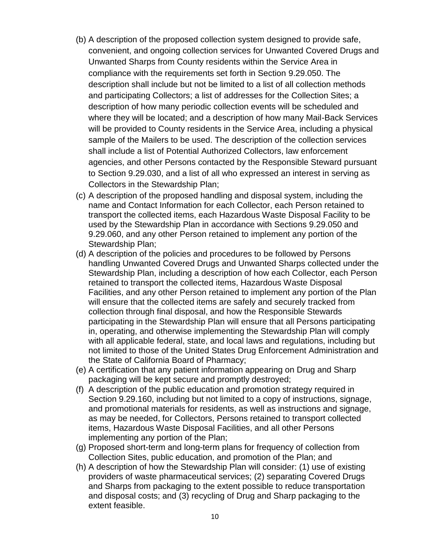- (b) A description of the proposed collection system designed to provide safe, convenient, and ongoing collection services for Unwanted Covered Drugs and Unwanted Sharps from County residents within the Service Area in compliance with the requirements set forth in Section 9.29.050. The description shall include but not be limited to a list of all collection methods and participating Collectors; a list of addresses for the Collection Sites; a description of how many periodic collection events will be scheduled and where they will be located; and a description of how many Mail-Back Services will be provided to County residents in the Service Area, including a physical sample of the Mailers to be used. The description of the collection services shall include a list of Potential Authorized Collectors, law enforcement agencies, and other Persons contacted by the Responsible Steward pursuant to Section 9.29.030, and a list of all who expressed an interest in serving as Collectors in the Stewardship Plan;
- (c) A description of the proposed handling and disposal system, including the name and Contact Information for each Collector, each Person retained to transport the collected items, each Hazardous Waste Disposal Facility to be used by the Stewardship Plan in accordance with Sections 9.29.050 and 9.29.060, and any other Person retained to implement any portion of the Stewardship Plan;
- (d) A description of the policies and procedures to be followed by Persons handling Unwanted Covered Drugs and Unwanted Sharps collected under the Stewardship Plan, including a description of how each Collector, each Person retained to transport the collected items, Hazardous Waste Disposal Facilities, and any other Person retained to implement any portion of the Plan will ensure that the collected items are safely and securely tracked from collection through final disposal, and how the Responsible Stewards participating in the Stewardship Plan will ensure that all Persons participating in, operating, and otherwise implementing the Stewardship Plan will comply with all applicable federal, state, and local laws and regulations, including but not limited to those of the United States Drug Enforcement Administration and the State of California Board of Pharmacy;
- (e) A certification that any patient information appearing on Drug and Sharp packaging will be kept secure and promptly destroyed;
- (f) A description of the public education and promotion strategy required in Section 9.29.160, including but not limited to a copy of instructions, signage, and promotional materials for residents, as well as instructions and signage, as may be needed, for Collectors, Persons retained to transport collected items, Hazardous Waste Disposal Facilities, and all other Persons implementing any portion of the Plan;
- (g) Proposed short-term and long-term plans for frequency of collection from Collection Sites, public education, and promotion of the Plan; and
- (h) A description of how the Stewardship Plan will consider: (1) use of existing providers of waste pharmaceutical services; (2) separating Covered Drugs and Sharps from packaging to the extent possible to reduce transportation and disposal costs; and (3) recycling of Drug and Sharp packaging to the extent feasible.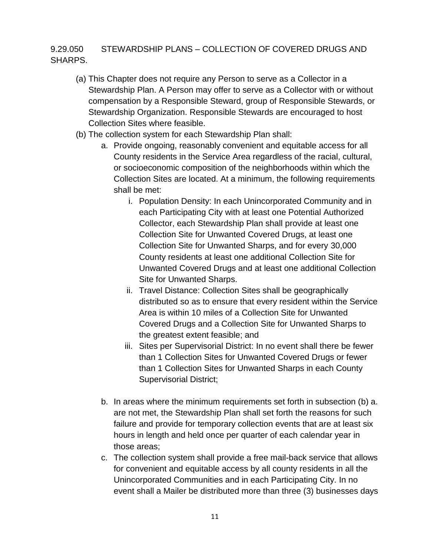## 9.29.050 STEWARDSHIP PLANS – COLLECTION OF COVERED DRUGS AND SHARPS.

- (a) This Chapter does not require any Person to serve as a Collector in a Stewardship Plan. A Person may offer to serve as a Collector with or without compensation by a Responsible Steward, group of Responsible Stewards, or Stewardship Organization. Responsible Stewards are encouraged to host Collection Sites where feasible.
- (b) The collection system for each Stewardship Plan shall:
	- a. Provide ongoing, reasonably convenient and equitable access for all County residents in the Service Area regardless of the racial, cultural, or socioeconomic composition of the neighborhoods within which the Collection Sites are located. At a minimum, the following requirements shall be met:
		- i. Population Density: In each Unincorporated Community and in each Participating City with at least one Potential Authorized Collector, each Stewardship Plan shall provide at least one Collection Site for Unwanted Covered Drugs, at least one Collection Site for Unwanted Sharps, and for every 30,000 County residents at least one additional Collection Site for Unwanted Covered Drugs and at least one additional Collection Site for Unwanted Sharps.
		- ii. Travel Distance: Collection Sites shall be geographically distributed so as to ensure that every resident within the Service Area is within 10 miles of a Collection Site for Unwanted Covered Drugs and a Collection Site for Unwanted Sharps to the greatest extent feasible; and
		- iii. Sites per Supervisorial District: In no event shall there be fewer than 1 Collection Sites for Unwanted Covered Drugs or fewer than 1 Collection Sites for Unwanted Sharps in each County Supervisorial District;
	- b. In areas where the minimum requirements set forth in subsection (b) a. are not met, the Stewardship Plan shall set forth the reasons for such failure and provide for temporary collection events that are at least six hours in length and held once per quarter of each calendar year in those areas;
	- c. The collection system shall provide a free mail-back service that allows for convenient and equitable access by all county residents in all the Unincorporated Communities and in each Participating City. In no event shall a Mailer be distributed more than three (3) businesses days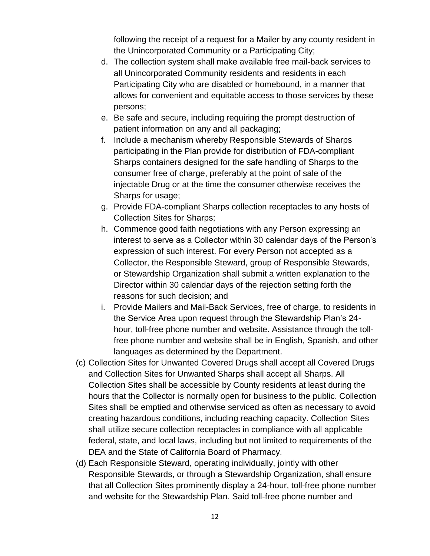following the receipt of a request for a Mailer by any county resident in the Unincorporated Community or a Participating City;

- d. The collection system shall make available free mail-back services to all Unincorporated Community residents and residents in each Participating City who are disabled or homebound, in a manner that allows for convenient and equitable access to those services by these persons;
- e. Be safe and secure, including requiring the prompt destruction of patient information on any and all packaging;
- f. Include a mechanism whereby Responsible Stewards of Sharps participating in the Plan provide for distribution of FDA-compliant Sharps containers designed for the safe handling of Sharps to the consumer free of charge, preferably at the point of sale of the injectable Drug or at the time the consumer otherwise receives the Sharps for usage;
- g. Provide FDA-compliant Sharps collection receptacles to any hosts of Collection Sites for Sharps;
- h. Commence good faith negotiations with any Person expressing an interest to serve as a Collector within 30 calendar days of the Person's expression of such interest. For every Person not accepted as a Collector, the Responsible Steward, group of Responsible Stewards, or Stewardship Organization shall submit a written explanation to the Director within 30 calendar days of the rejection setting forth the reasons for such decision; and
- i. Provide Mailers and Mail-Back Services, free of charge, to residents in the Service Area upon request through the Stewardship Plan's 24 hour, toll-free phone number and website. Assistance through the tollfree phone number and website shall be in English, Spanish, and other languages as determined by the Department.
- (c) Collection Sites for Unwanted Covered Drugs shall accept all Covered Drugs and Collection Sites for Unwanted Sharps shall accept all Sharps. All Collection Sites shall be accessible by County residents at least during the hours that the Collector is normally open for business to the public. Collection Sites shall be emptied and otherwise serviced as often as necessary to avoid creating hazardous conditions, including reaching capacity. Collection Sites shall utilize secure collection receptacles in compliance with all applicable federal, state, and local laws, including but not limited to requirements of the DEA and the State of California Board of Pharmacy.
- (d) Each Responsible Steward, operating individually, jointly with other Responsible Stewards, or through a Stewardship Organization, shall ensure that all Collection Sites prominently display a 24-hour, toll-free phone number and website for the Stewardship Plan. Said toll-free phone number and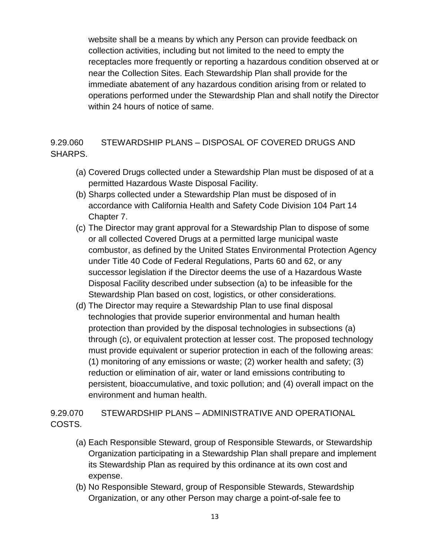website shall be a means by which any Person can provide feedback on collection activities, including but not limited to the need to empty the receptacles more frequently or reporting a hazardous condition observed at or near the Collection Sites. Each Stewardship Plan shall provide for the immediate abatement of any hazardous condition arising from or related to operations performed under the Stewardship Plan and shall notify the Director within 24 hours of notice of same.

9.29.060 STEWARDSHIP PLANS – DISPOSAL OF COVERED DRUGS AND SHARPS.

- (a) Covered Drugs collected under a Stewardship Plan must be disposed of at a permitted Hazardous Waste Disposal Facility.
- (b) Sharps collected under a Stewardship Plan must be disposed of in accordance with California Health and Safety Code Division 104 Part 14 Chapter 7.
- (c) The Director may grant approval for a Stewardship Plan to dispose of some or all collected Covered Drugs at a permitted large municipal waste combustor, as defined by the United States Environmental Protection Agency under Title 40 Code of Federal Regulations, Parts 60 and 62, or any successor legislation if the Director deems the use of a Hazardous Waste Disposal Facility described under subsection (a) to be infeasible for the Stewardship Plan based on cost, logistics, or other considerations.
- (d) The Director may require a Stewardship Plan to use final disposal technologies that provide superior environmental and human health protection than provided by the disposal technologies in subsections (a) through (c), or equivalent protection at lesser cost. The proposed technology must provide equivalent or superior protection in each of the following areas: (1) monitoring of any emissions or waste; (2) worker health and safety; (3) reduction or elimination of air, water or land emissions contributing to persistent, bioaccumulative, and toxic pollution; and (4) overall impact on the environment and human health.

# 9.29.070 STEWARDSHIP PLANS – ADMINISTRATIVE AND OPERATIONAL COSTS.

- (a) Each Responsible Steward, group of Responsible Stewards, or Stewardship Organization participating in a Stewardship Plan shall prepare and implement its Stewardship Plan as required by this ordinance at its own cost and expense.
- (b) No Responsible Steward, group of Responsible Stewards, Stewardship Organization, or any other Person may charge a point-of-sale fee to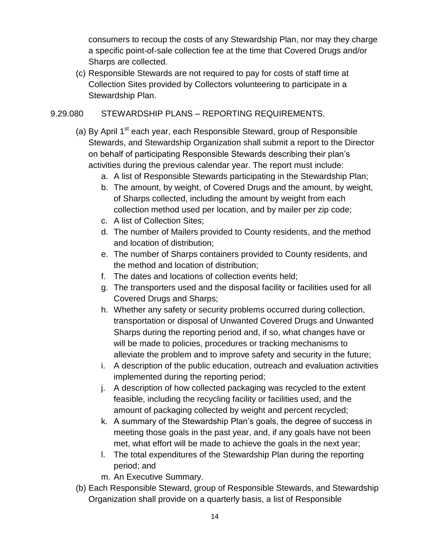consumers to recoup the costs of any Stewardship Plan, nor may they charge a specific point-of-sale collection fee at the time that Covered Drugs and/or Sharps are collected.

(c) Responsible Stewards are not required to pay for costs of staff time at Collection Sites provided by Collectors volunteering to participate in a Stewardship Plan.

### 9.29.080 STEWARDSHIP PLANS – REPORTING REQUIREMENTS.

- (a) By April  $1<sup>st</sup>$  each year, each Responsible Steward, group of Responsible Stewards, and Stewardship Organization shall submit a report to the Director on behalf of participating Responsible Stewards describing their plan's activities during the previous calendar year. The report must include:
	- a. A list of Responsible Stewards participating in the Stewardship Plan;
	- b. The amount, by weight, of Covered Drugs and the amount, by weight, of Sharps collected, including the amount by weight from each collection method used per location, and by mailer per zip code;
	- c. A list of Collection Sites;
	- d. The number of Mailers provided to County residents, and the method and location of distribution;
	- e. The number of Sharps containers provided to County residents, and the method and location of distribution;
	- f. The dates and locations of collection events held;
	- g. The transporters used and the disposal facility or facilities used for all Covered Drugs and Sharps;
	- h. Whether any safety or security problems occurred during collection, transportation or disposal of Unwanted Covered Drugs and Unwanted Sharps during the reporting period and, if so, what changes have or will be made to policies, procedures or tracking mechanisms to alleviate the problem and to improve safety and security in the future;
	- i. A description of the public education, outreach and evaluation activities implemented during the reporting period;
	- j. A description of how collected packaging was recycled to the extent feasible, including the recycling facility or facilities used, and the amount of packaging collected by weight and percent recycled;
	- k. A summary of the Stewardship Plan's goals, the degree of success in meeting those goals in the past year, and, if any goals have not been met, what effort will be made to achieve the goals in the next year;
	- l. The total expenditures of the Stewardship Plan during the reporting period; and
	- m. An Executive Summary.
- (b) Each Responsible Steward, group of Responsible Stewards, and Stewardship Organization shall provide on a quarterly basis, a list of Responsible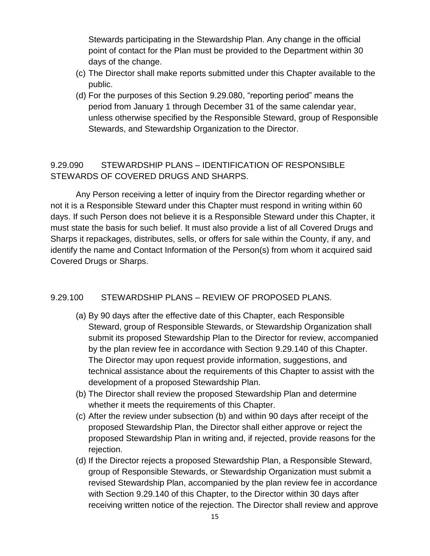Stewards participating in the Stewardship Plan. Any change in the official point of contact for the Plan must be provided to the Department within 30 days of the change.

- (c) The Director shall make reports submitted under this Chapter available to the public.
- (d) For the purposes of this Section 9.29.080, "reporting period" means the period from January 1 through December 31 of the same calendar year, unless otherwise specified by the Responsible Steward, group of Responsible Stewards, and Stewardship Organization to the Director.

# 9.29.090 STEWARDSHIP PLANS – IDENTIFICATION OF RESPONSIBLE STEWARDS OF COVERED DRUGS AND SHARPS.

Any Person receiving a letter of inquiry from the Director regarding whether or not it is a Responsible Steward under this Chapter must respond in writing within 60 days. If such Person does not believe it is a Responsible Steward under this Chapter, it must state the basis for such belief. It must also provide a list of all Covered Drugs and Sharps it repackages, distributes, sells, or offers for sale within the County, if any, and identify the name and Contact Information of the Person(s) from whom it acquired said Covered Drugs or Sharps.

### 9.29.100 STEWARDSHIP PLANS – REVIEW OF PROPOSED PLANS.

- (a) By 90 days after the effective date of this Chapter, each Responsible Steward, group of Responsible Stewards, or Stewardship Organization shall submit its proposed Stewardship Plan to the Director for review, accompanied by the plan review fee in accordance with Section 9.29.140 of this Chapter. The Director may upon request provide information, suggestions, and technical assistance about the requirements of this Chapter to assist with the development of a proposed Stewardship Plan.
- (b) The Director shall review the proposed Stewardship Plan and determine whether it meets the requirements of this Chapter.
- (c) After the review under subsection (b) and within 90 days after receipt of the proposed Stewardship Plan, the Director shall either approve or reject the proposed Stewardship Plan in writing and, if rejected, provide reasons for the rejection.
- (d) If the Director rejects a proposed Stewardship Plan, a Responsible Steward, group of Responsible Stewards, or Stewardship Organization must submit a revised Stewardship Plan, accompanied by the plan review fee in accordance with Section 9.29.140 of this Chapter, to the Director within 30 days after receiving written notice of the rejection. The Director shall review and approve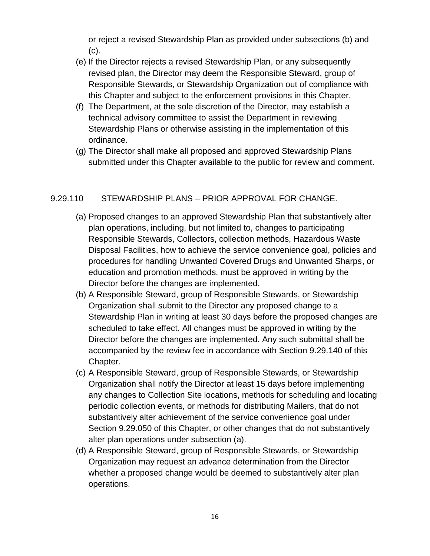or reject a revised Stewardship Plan as provided under subsections (b) and (c).

- (e) If the Director rejects a revised Stewardship Plan, or any subsequently revised plan, the Director may deem the Responsible Steward, group of Responsible Stewards, or Stewardship Organization out of compliance with this Chapter and subject to the enforcement provisions in this Chapter.
- (f) The Department, at the sole discretion of the Director, may establish a technical advisory committee to assist the Department in reviewing Stewardship Plans or otherwise assisting in the implementation of this ordinance.
- (g) The Director shall make all proposed and approved Stewardship Plans submitted under this Chapter available to the public for review and comment.

### 9.29.110 STEWARDSHIP PLANS – PRIOR APPROVAL FOR CHANGE.

- (a) Proposed changes to an approved Stewardship Plan that substantively alter plan operations, including, but not limited to, changes to participating Responsible Stewards, Collectors, collection methods, Hazardous Waste Disposal Facilities, how to achieve the service convenience goal, policies and procedures for handling Unwanted Covered Drugs and Unwanted Sharps, or education and promotion methods, must be approved in writing by the Director before the changes are implemented.
- (b) A Responsible Steward, group of Responsible Stewards, or Stewardship Organization shall submit to the Director any proposed change to a Stewardship Plan in writing at least 30 days before the proposed changes are scheduled to take effect. All changes must be approved in writing by the Director before the changes are implemented. Any such submittal shall be accompanied by the review fee in accordance with Section 9.29.140 of this Chapter.
- (c) A Responsible Steward, group of Responsible Stewards, or Stewardship Organization shall notify the Director at least 15 days before implementing any changes to Collection Site locations, methods for scheduling and locating periodic collection events, or methods for distributing Mailers, that do not substantively alter achievement of the service convenience goal under Section 9.29.050 of this Chapter, or other changes that do not substantively alter plan operations under subsection (a).
- (d) A Responsible Steward, group of Responsible Stewards, or Stewardship Organization may request an advance determination from the Director whether a proposed change would be deemed to substantively alter plan operations.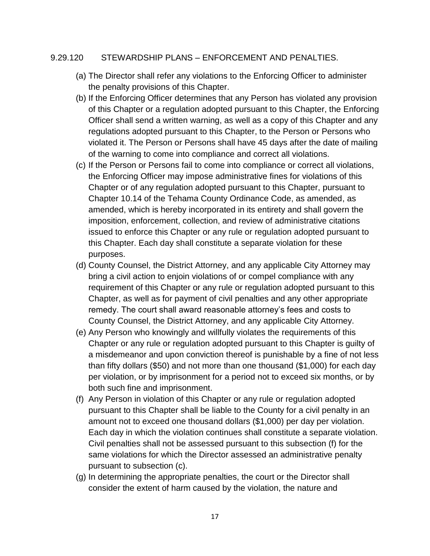#### 9.29.120 STEWARDSHIP PLANS – ENFORCEMENT AND PENALTIES.

- (a) The Director shall refer any violations to the Enforcing Officer to administer the penalty provisions of this Chapter.
- (b) If the Enforcing Officer determines that any Person has violated any provision of this Chapter or a regulation adopted pursuant to this Chapter, the Enforcing Officer shall send a written warning, as well as a copy of this Chapter and any regulations adopted pursuant to this Chapter, to the Person or Persons who violated it. The Person or Persons shall have 45 days after the date of mailing of the warning to come into compliance and correct all violations.
- (c) If the Person or Persons fail to come into compliance or correct all violations, the Enforcing Officer may impose administrative fines for violations of this Chapter or of any regulation adopted pursuant to this Chapter, pursuant to Chapter 10.14 of the Tehama County Ordinance Code, as amended, as amended, which is hereby incorporated in its entirety and shall govern the imposition, enforcement, collection, and review of administrative citations issued to enforce this Chapter or any rule or regulation adopted pursuant to this Chapter. Each day shall constitute a separate violation for these purposes.
- (d) County Counsel, the District Attorney, and any applicable City Attorney may bring a civil action to enjoin violations of or compel compliance with any requirement of this Chapter or any rule or regulation adopted pursuant to this Chapter, as well as for payment of civil penalties and any other appropriate remedy. The court shall award reasonable attorney's fees and costs to County Counsel, the District Attorney, and any applicable City Attorney.
- (e) Any Person who knowingly and willfully violates the requirements of this Chapter or any rule or regulation adopted pursuant to this Chapter is guilty of a misdemeanor and upon conviction thereof is punishable by a fine of not less than fifty dollars (\$50) and not more than one thousand (\$1,000) for each day per violation, or by imprisonment for a period not to exceed six months, or by both such fine and imprisonment.
- (f) Any Person in violation of this Chapter or any rule or regulation adopted pursuant to this Chapter shall be liable to the County for a civil penalty in an amount not to exceed one thousand dollars (\$1,000) per day per violation. Each day in which the violation continues shall constitute a separate violation. Civil penalties shall not be assessed pursuant to this subsection (f) for the same violations for which the Director assessed an administrative penalty pursuant to subsection (c).
- (g) In determining the appropriate penalties, the court or the Director shall consider the extent of harm caused by the violation, the nature and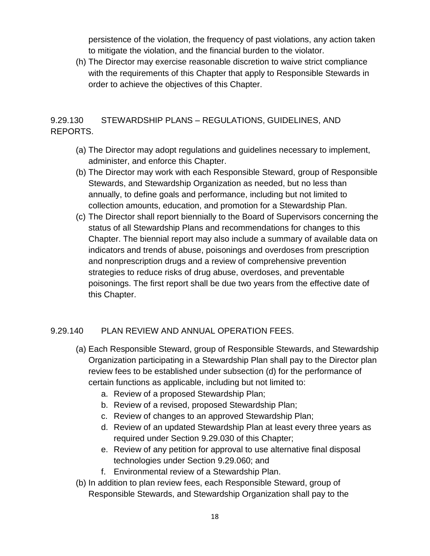persistence of the violation, the frequency of past violations, any action taken to mitigate the violation, and the financial burden to the violator.

(h) The Director may exercise reasonable discretion to waive strict compliance with the requirements of this Chapter that apply to Responsible Stewards in order to achieve the objectives of this Chapter.

# 9.29.130 STEWARDSHIP PLANS – REGULATIONS, GUIDELINES, AND REPORTS.

- (a) The Director may adopt regulations and guidelines necessary to implement, administer, and enforce this Chapter.
- (b) The Director may work with each Responsible Steward, group of Responsible Stewards, and Stewardship Organization as needed, but no less than annually, to define goals and performance, including but not limited to collection amounts, education, and promotion for a Stewardship Plan.
- (c) The Director shall report biennially to the Board of Supervisors concerning the status of all Stewardship Plans and recommendations for changes to this Chapter. The biennial report may also include a summary of available data on indicators and trends of abuse, poisonings and overdoses from prescription and nonprescription drugs and a review of comprehensive prevention strategies to reduce risks of drug abuse, overdoses, and preventable poisonings. The first report shall be due two years from the effective date of this Chapter.

### 9.29.140 PLAN REVIEW AND ANNUAL OPERATION FEES.

- (a) Each Responsible Steward, group of Responsible Stewards, and Stewardship Organization participating in a Stewardship Plan shall pay to the Director plan review fees to be established under subsection (d) for the performance of certain functions as applicable, including but not limited to:
	- a. Review of a proposed Stewardship Plan;
	- b. Review of a revised, proposed Stewardship Plan;
	- c. Review of changes to an approved Stewardship Plan;
	- d. Review of an updated Stewardship Plan at least every three years as required under Section 9.29.030 of this Chapter;
	- e. Review of any petition for approval to use alternative final disposal technologies under Section 9.29.060; and
	- f. Environmental review of a Stewardship Plan.
- (b) In addition to plan review fees, each Responsible Steward, group of Responsible Stewards, and Stewardship Organization shall pay to the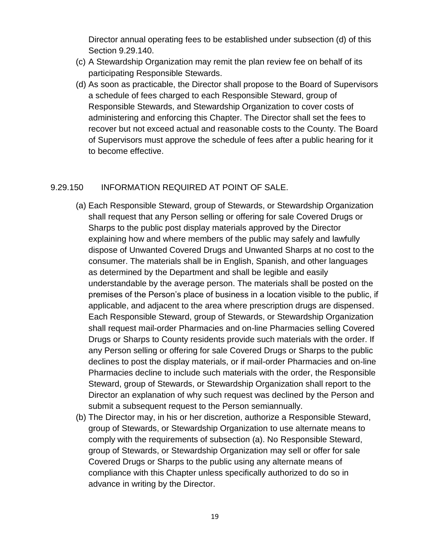Director annual operating fees to be established under subsection (d) of this Section 9.29.140.

- (c) A Stewardship Organization may remit the plan review fee on behalf of its participating Responsible Stewards.
- (d) As soon as practicable, the Director shall propose to the Board of Supervisors a schedule of fees charged to each Responsible Steward, group of Responsible Stewards, and Stewardship Organization to cover costs of administering and enforcing this Chapter. The Director shall set the fees to recover but not exceed actual and reasonable costs to the County. The Board of Supervisors must approve the schedule of fees after a public hearing for it to become effective.

### 9.29.150 INFORMATION REQUIRED AT POINT OF SALE.

- (a) Each Responsible Steward, group of Stewards, or Stewardship Organization shall request that any Person selling or offering for sale Covered Drugs or Sharps to the public post display materials approved by the Director explaining how and where members of the public may safely and lawfully dispose of Unwanted Covered Drugs and Unwanted Sharps at no cost to the consumer. The materials shall be in English, Spanish, and other languages as determined by the Department and shall be legible and easily understandable by the average person. The materials shall be posted on the premises of the Person's place of business in a location visible to the public, if applicable, and adjacent to the area where prescription drugs are dispensed. Each Responsible Steward, group of Stewards, or Stewardship Organization shall request mail-order Pharmacies and on-line Pharmacies selling Covered Drugs or Sharps to County residents provide such materials with the order. If any Person selling or offering for sale Covered Drugs or Sharps to the public declines to post the display materials, or if mail-order Pharmacies and on-line Pharmacies decline to include such materials with the order, the Responsible Steward, group of Stewards, or Stewardship Organization shall report to the Director an explanation of why such request was declined by the Person and submit a subsequent request to the Person semiannually.
- (b) The Director may, in his or her discretion, authorize a Responsible Steward, group of Stewards, or Stewardship Organization to use alternate means to comply with the requirements of subsection (a). No Responsible Steward, group of Stewards, or Stewardship Organization may sell or offer for sale Covered Drugs or Sharps to the public using any alternate means of compliance with this Chapter unless specifically authorized to do so in advance in writing by the Director.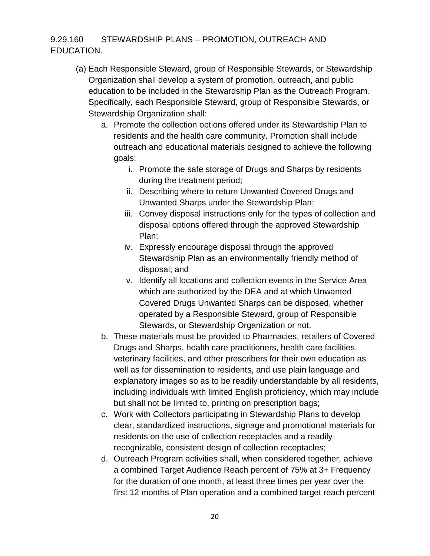# 9.29.160 STEWARDSHIP PLANS – PROMOTION, OUTREACH AND EDUCATION.

- (a) Each Responsible Steward, group of Responsible Stewards, or Stewardship Organization shall develop a system of promotion, outreach, and public education to be included in the Stewardship Plan as the Outreach Program. Specifically, each Responsible Steward, group of Responsible Stewards, or Stewardship Organization shall:
	- a. Promote the collection options offered under its Stewardship Plan to residents and the health care community. Promotion shall include outreach and educational materials designed to achieve the following goals:
		- i. Promote the safe storage of Drugs and Sharps by residents during the treatment period;
		- ii. Describing where to return Unwanted Covered Drugs and Unwanted Sharps under the Stewardship Plan;
		- iii. Convey disposal instructions only for the types of collection and disposal options offered through the approved Stewardship Plan;
		- iv. Expressly encourage disposal through the approved Stewardship Plan as an environmentally friendly method of disposal; and
		- v. Identify all locations and collection events in the Service Area which are authorized by the DEA and at which Unwanted Covered Drugs Unwanted Sharps can be disposed, whether operated by a Responsible Steward, group of Responsible Stewards, or Stewardship Organization or not.
	- b. These materials must be provided to Pharmacies, retailers of Covered Drugs and Sharps, health care practitioners, health care facilities, veterinary facilities, and other prescribers for their own education as well as for dissemination to residents, and use plain language and explanatory images so as to be readily understandable by all residents, including individuals with limited English proficiency, which may include but shall not be limited to, printing on prescription bags;
	- c. Work with Collectors participating in Stewardship Plans to develop clear, standardized instructions, signage and promotional materials for residents on the use of collection receptacles and a readilyrecognizable, consistent design of collection receptacles;
	- d. Outreach Program activities shall, when considered together, achieve a combined Target Audience Reach percent of 75% at 3+ Frequency for the duration of one month, at least three times per year over the first 12 months of Plan operation and a combined target reach percent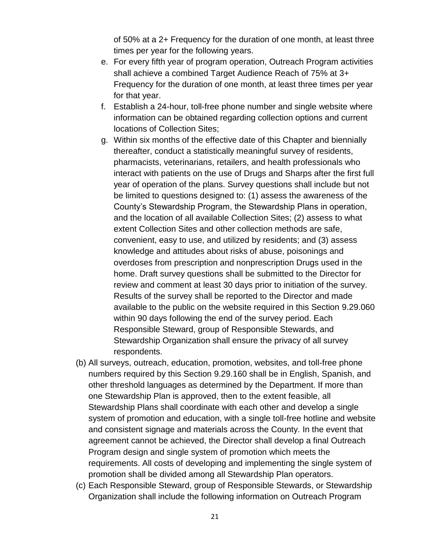of 50% at a 2+ Frequency for the duration of one month, at least three times per year for the following years.

- e. For every fifth year of program operation, Outreach Program activities shall achieve a combined Target Audience Reach of 75% at 3+ Frequency for the duration of one month, at least three times per year for that year.
- f. Establish a 24-hour, toll-free phone number and single website where information can be obtained regarding collection options and current locations of Collection Sites;
- g. Within six months of the effective date of this Chapter and biennially thereafter, conduct a statistically meaningful survey of residents, pharmacists, veterinarians, retailers, and health professionals who interact with patients on the use of Drugs and Sharps after the first full year of operation of the plans. Survey questions shall include but not be limited to questions designed to: (1) assess the awareness of the County's Stewardship Program, the Stewardship Plans in operation, and the location of all available Collection Sites; (2) assess to what extent Collection Sites and other collection methods are safe, convenient, easy to use, and utilized by residents; and (3) assess knowledge and attitudes about risks of abuse, poisonings and overdoses from prescription and nonprescription Drugs used in the home. Draft survey questions shall be submitted to the Director for review and comment at least 30 days prior to initiation of the survey. Results of the survey shall be reported to the Director and made available to the public on the website required in this Section 9.29.060 within 90 days following the end of the survey period. Each Responsible Steward, group of Responsible Stewards, and Stewardship Organization shall ensure the privacy of all survey respondents.
- (b) All surveys, outreach, education, promotion, websites, and toll-free phone numbers required by this Section 9.29.160 shall be in English, Spanish, and other threshold languages as determined by the Department. If more than one Stewardship Plan is approved, then to the extent feasible, all Stewardship Plans shall coordinate with each other and develop a single system of promotion and education, with a single toll-free hotline and website and consistent signage and materials across the County. In the event that agreement cannot be achieved, the Director shall develop a final Outreach Program design and single system of promotion which meets the requirements. All costs of developing and implementing the single system of promotion shall be divided among all Stewardship Plan operators.
- (c) Each Responsible Steward, group of Responsible Stewards, or Stewardship Organization shall include the following information on Outreach Program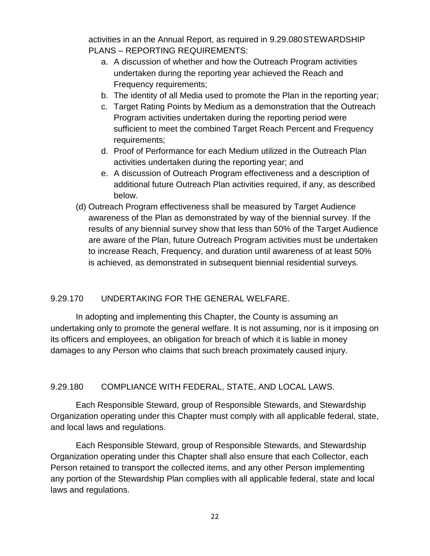activities in an the Annual Report, as required in 9.29.080STEWARDSHIP PLANS – REPORTING REQUIREMENTS:

- a. A discussion of whether and how the Outreach Program activities undertaken during the reporting year achieved the Reach and Frequency requirements;
- b. The identity of all Media used to promote the Plan in the reporting year;
- c. Target Rating Points by Medium as a demonstration that the Outreach Program activities undertaken during the reporting period were sufficient to meet the combined Target Reach Percent and Frequency requirements;
- d. Proof of Performance for each Medium utilized in the Outreach Plan activities undertaken during the reporting year; and
- e. A discussion of Outreach Program effectiveness and a description of additional future Outreach Plan activities required, if any, as described below.
- (d) Outreach Program effectiveness shall be measured by Target Audience awareness of the Plan as demonstrated by way of the biennial survey. If the results of any biennial survey show that less than 50% of the Target Audience are aware of the Plan, future Outreach Program activities must be undertaken to increase Reach, Frequency, and duration until awareness of at least 50% is achieved, as demonstrated in subsequent biennial residential surveys.

### 9.29.170 UNDERTAKING FOR THE GENERAL WELFARE.

In adopting and implementing this Chapter, the County is assuming an undertaking only to promote the general welfare. It is not assuming, nor is it imposing on its officers and employees, an obligation for breach of which it is liable in money damages to any Person who claims that such breach proximately caused injury.

9.29.180 COMPLIANCE WITH FEDERAL, STATE, AND LOCAL LAWS.

Each Responsible Steward, group of Responsible Stewards, and Stewardship Organization operating under this Chapter must comply with all applicable federal, state, and local laws and regulations.

Each Responsible Steward, group of Responsible Stewards, and Stewardship Organization operating under this Chapter shall also ensure that each Collector, each Person retained to transport the collected items, and any other Person implementing any portion of the Stewardship Plan complies with all applicable federal, state and local laws and regulations.